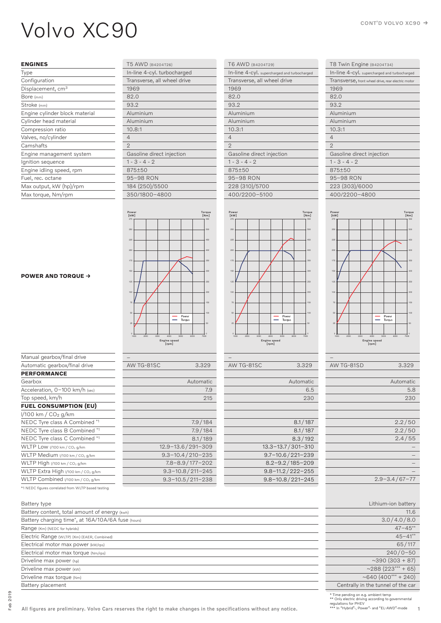# VOIVO XC90

### **ENGINES**

| Type                           |
|--------------------------------|
| Configuration                  |
| Displacement, cm <sup>3</sup>  |
| Bore (mm)                      |
| Stroke (mm)                    |
| Engine cylinder block material |
| Cylinder head material         |
| Compression ratio              |
| Valves, no/cylinder            |
| Camshafts                      |
| Engine management system       |
| Ignition sequence              |
| Engine idling speed, rpm       |
| Fuel, rec. octane              |
| Max output, kW (hp)/rpm        |
| Max torque, Nm/rpm             |
|                                |

| T5 AWD (B4204T26)           |
|-----------------------------|
| In-line 4-cyl. turbocharged |
| Transverse, all wheel drive |
| 1969                        |
| 82.0                        |
| 93.2                        |
| Aluminium                   |
| Aluminium                   |
| 10.8:1                      |
| $\overline{4}$              |
| $\overline{2}$              |
| Gasoline direct injection   |
| $1 - 3 - 4 - 2$             |
| 875+50                      |
| 95–98 RON                   |
| 184 (250)/5500              |
| 350/1800-4800               |

| T6 AWD (B4204T29)                            |
|----------------------------------------------|
| In-line 4-cyl. supercharged and turbocharged |
| Transverse, all wheel drive                  |
| 1969                                         |
| 82.0                                         |
| 93.2                                         |
| Aluminium                                    |
| Aluminium                                    |
| 10.3:1                                       |
| $\overline{4}$                               |
| $\overline{2}$                               |
| Gasoline direct injection                    |
| $1 - 3 - 4 - 2$                              |
| 875+50                                       |
| 95–98 RON                                    |
| 228 (310)/5700                               |
| 400/2200-5100                                |
|                                              |

| T8 Twin Engine (B4204T34)                          |
|----------------------------------------------------|
| In-line 4-cyl. supercharged and turbocharged       |
| Transverse, front wheel drive, rear electric motor |
| 1969                                               |
| 82.0                                               |
| 93.2                                               |
| Aluminium                                          |
| Aluminium                                          |
| 10.3:1                                             |
| $\Delta$                                           |
| $\mathcal{D}$                                      |
| Gasoline direct injection                          |
| $1 - 3 - 4 - 2$                                    |
| 875±50                                             |
| 95-98 RON                                          |
| 223 (303)/6000                                     |
| 400/2200-4800                                      |
|                                                    |



| 7188 1 U U IU U | 0.02J                 |
|-----------------|-----------------------|
|                 |                       |
|                 | Automatic             |
|                 | 5.8                   |
|                 | 230                   |
|                 |                       |
|                 |                       |
|                 | 2.2/50                |
|                 | 2.2/50                |
|                 | 2.4/55                |
|                 |                       |
|                 |                       |
|                 |                       |
|                 |                       |
|                 | $2.9 - 3.4 / 67 - 77$ |
|                 |                       |

 $A/M T C - 815D$  3.329

| Lithium-ion battery                |
|------------------------------------|
| 11.6                               |
| 3.0/4.0/8.0                        |
| $47 - 45**$                        |
| $45 - 41**$                        |
| 65/117                             |
| $240/0 - 50$                       |
| $~10$ (303 + 87)                   |
| $~1/288$ (223*** + 65)             |
| $~10^{640}$ (400*** + 240)         |
| Centrally in the tunnel of the car |

\* Time pending on e.g. ambient temp \*\* Only electric driving according to governmental regulations for PHEV \*\*\* In "Hybrid"-, Power"- and "EL-AWD"-mode

#### **POWER AND TORQUE**

| 275                   |      |      |              |                 |      | 550     |
|-----------------------|------|------|--------------|-----------------|------|---------|
| 250                   |      |      |              |                 |      | 500     |
| 225                   |      |      |              |                 |      | 450     |
| 200                   |      |      |              |                 |      | 400     |
| 175                   |      |      |              |                 |      | 350     |
| 150                   |      |      |              |                 |      | 300     |
| 125                   |      |      |              |                 |      | 250     |
| 100                   |      |      |              |                 |      | 200     |
| 75                    |      |      |              |                 |      | 150     |
| 50                    |      |      |              | Power<br>Torque |      | 100     |
| 25                    |      |      |              |                 |      | 50      |
| $\circ$<br>1000       | 2000 | 3000 | 4000<br>5000 | 6000            | 7000 | $\circ$ |
| Engine speed<br>[rpm] |      |      |              |                 |      |         |

Power [kW]

| AW TG-81SC | 3.329                    |
|------------|--------------------------|
|            |                          |
|            | Automatic                |
|            | 7.9                      |
|            | 215                      |
|            |                          |
|            |                          |
|            | 7.9/184                  |
|            | 7.9/184                  |
|            | 8.1/189                  |
|            | 12.9-13.6/291-309        |
|            | $9.3 - 10.4 / 210 - 235$ |
|            | $7.8 - 8.9 / 177 - 202$  |
|            | $9.3 - 10.8 / 211 - 245$ |
|            | $9.3 - 10.5 / 211 - 238$ |
|            |                          |

\*1 NEDC figures correlated from WLTP based testing

| Battery type                                                    | Lithium-ion batter                |
|-----------------------------------------------------------------|-----------------------------------|
| Battery content, total amount of energy (kwh)                   | 11.                               |
| Battery charging time <sup>*</sup> , at 16A/10A/6A fuse (hours) | 3.0/4.0/8.                        |
| Range (Km) (NEDC for hybrids)                                   | $47 - 45$                         |
| Electric Range (WLTP) (Km) (EAER, Combined)                     | $45 - 41$                         |
| Electrical motor max power (kw/rps)                             | 65/11                             |
| Electrical motor max torque (Nm/rps)                            | $240/0 - 5$                       |
| Driveline max power (hp)                                        | $~10-390(303+8)$                  |
| Driveline max power (kw)                                        | $~288(223***+65)$                 |
| Driveline max torque (Nm)                                       | ~640 (400*** + 240                |
| Battery placement                                               | Centrally in the tunnel of the ca |

–

25

Power<br> $\begin{bmatrix} \text{kW} \\ \text{275} \\ \text{T} \end{bmatrix}$ 

Torque [Nm]

AW TG-81SC 3.329

Engine speed [rpm]

1000 2000 3000 4000 5000 6000 7000

Power<br>Torque

Ξ

Automatic 6.5 230

100 50

Torque<br>[Nm]<br>550

 $8.1 / 187$  $8.1 / 187$  $8.3 / 192$ 

13.3–13.7 / 301–310 9.7–10.6 / 221–239 8.2–9.2 / 185–209 9.8–11.2 / 222–255 9.8–10.8 / 221–245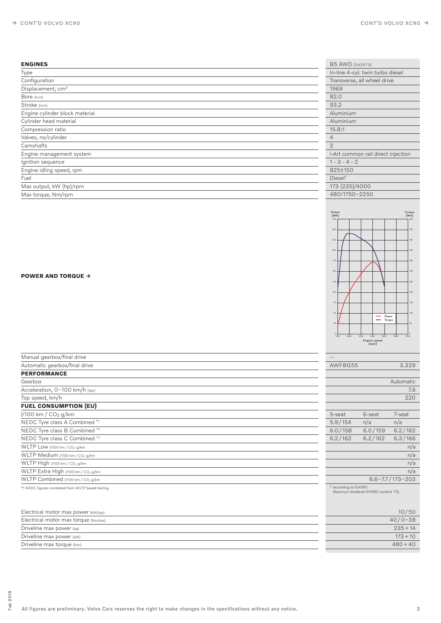## **ENGINES**

| <b>ENGINES</b>                 | <b>B5 AWD (D420T2)</b>             |
|--------------------------------|------------------------------------|
| Type                           | In-line 4-cyl. twin turbo diesel   |
| Configuration                  | Transverse, all wheel drive        |
| Displacement, cm <sup>3</sup>  | 1969                               |
| Bore (mm)                      | 82.0                               |
| Stroke (mm)                    | 93.2                               |
| Engine cylinder block material | Aluminium                          |
| Cylinder head material         | Aluminium                          |
| Compression ratio              | 15.8:1                             |
| Valves, no/cylinder            | $\overline{4}$                     |
| Camshafts                      | $\mathbf{2}$                       |
| Engine management system       | i-Art common rail direct injection |
| Ignition sequence              | $1 - 3 - 4 - 2$                    |
| Engine idling speed, rpm       | 825±150                            |
| Fuel                           | Diesel*                            |
| Max output, kW (hp)/rpm        | 173 (235)/4000                     |
| Max torque, Nm/rpm             | 480/1750-2250                      |



#### **POWER AND TORQUE**

| Manual gearbox/final drive                         | $\qquad \qquad -$                                           |         |                         |
|----------------------------------------------------|-------------------------------------------------------------|---------|-------------------------|
| Automatic gearbox/final drive                      | <b>AWF8G55</b>                                              |         | 3.329                   |
| <b>PERFORMANCE</b>                                 |                                                             |         |                         |
| Gearbox                                            |                                                             |         | Automatic               |
| Acceleration, 0-100 km/h (sec)                     |                                                             |         | 7.6                     |
| Top speed, km/h                                    |                                                             |         | 220                     |
| <b>FUEL CONSUMPTION (EU)</b>                       |                                                             |         |                         |
| $1/100$ km / $CO2$ g/km                            | 5-seat                                                      | 6-seat  | 7-seat                  |
| NEDC Tyre class A Combined *1                      | 5.9/154                                                     | n/a     | n/a                     |
| NEDC Tyre class B Combined *1                      | 6.0/158                                                     | 6.0/159 | 6.2/162                 |
| NEDC Tyre class C Combined *1                      | 6.2/162                                                     | 6.2/162 | 6.3/166                 |
| WLTP Low 1/100 km / CO <sub>2</sub> g/km           |                                                             |         | n/a                     |
| WLTP Medium 1/100 km / CO2 g/km                    |                                                             |         | n/a                     |
| WLTP High 1/100 km / CO2 g/km                      |                                                             |         | n/a                     |
| WLTP Extra High 1/100 km / CO2 g/km                |                                                             |         | n/a                     |
| WLTP Combined I/100 km / CO <sub>2</sub> g/km      |                                                             |         | $6.6 - 7.7 / 173 - 203$ |
| *1 NEDC figures correlated from WLTP based testing | * According to EN590<br>Maximum biodiesel (FAME) content 7% |         |                         |
| Electrical motor max power (kW/rps)                |                                                             |         | 10/50                   |

| Electrical motor max torque (Nm/rps) | $40/0 - 38$ |
|--------------------------------------|-------------|
| Driveline max power (hp)             | $235+14$    |
| Driveline max power (kw)             | $173 + 10$  |
| Driveline max torque (Nm)            | $480 + 40$  |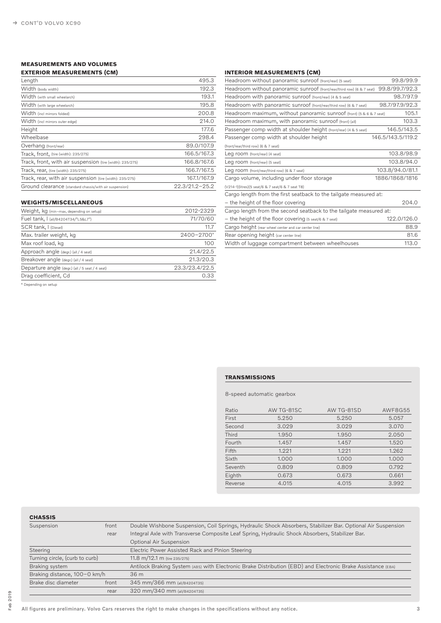# **MEASUREMENTS AND VOLUMES**

## **EXTERIOR MEASUREMENTS (CM)**

| Length                                                    | 495.3              |
|-----------------------------------------------------------|--------------------|
| Width (body width)                                        | 192.3              |
| Width (with small wheelarch)                              | 193.1              |
| Width (with large wheelarch)                              | 195.8              |
| Width (incl mirrors folded)                               | 200.8              |
| Width (incl mirrors outer edge)                           | 214.0              |
| Height                                                    | 177.6              |
| Wheelbase                                                 | 298.4              |
| Overhang (front/rear)                                     | 89.0/107.9         |
| Track, front, (tire (width): 235/275)                     | 166,5/167,3        |
| Track, front, with air suspension (tire (width): 235/275) | 166,8/167,6        |
| Track, rear, (tire (width): 235/275)                      | 166.7/167.5        |
| Track, rear, with air suspension (tire (width): 235/275)  | 167.1/167.9        |
| Ground clearance (standard chassis/with air suspension)   | $22.3/21.2 - 25.2$ |
|                                                           |                    |

# **WEIGHTS/MISCELLANEOUS**

| Weight, kg (min-max, depending on setup)        | 2012-2329      |
|-------------------------------------------------|----------------|
| Fuel tank, I (all/B4204T34/"L5&L7")             | 71/70/60       |
| SCR tank, I (Diesel)                            | 11.7           |
| Max. trailer weight, kg                         | 2400-2700*     |
| Max roof load, kg                               | 100            |
| Approach angle (degr.) (all / 4 seat)           | 21.4/22.5      |
| Breakover angle (degr.) (all / 4 seat)          | 21.3/20.3      |
| Departure angle (degr.) (all / 5 seat / 4 seat) | 23.3/23.4/22.5 |
| Drag coefficient, Cd                            | 0.33           |
|                                                 |                |

\* Depending on setup

## **INTERIOR MEASUREMENTS (CM)**

| Headroom without panoramic sunroof (front/rear) (5 seat)               | 99.8/99.9         |
|------------------------------------------------------------------------|-------------------|
| Headroom without panoramic sunroof (front/rear/third row) (6 & 7 seat) | 99.8/99.7/92.3    |
| Headroom with panoramic sunroof (front/rear) (4 & 5 seat)              | 98.7/97.9         |
| Headroom with panoramic sunroof (front/rear/third row) (6 & 7 seat)    | 98.7/97.9/92.3    |
| Headroom maximum, without panoramic sunroof (front) (5 & 6 & 7 seat)   | 105.1             |
| Headroom maximum, with panoramic sunroof (front) (all)                 | 103.3             |
| Passenger comp width at shoulder height (front/rear) (4 & 5 seat)      | 146.5/143.5       |
| Passenger comp width at shoulder height                                | 146.5/143.5/119.2 |
| (front/rear/third row) (6 & 7 seat)                                    |                   |
| Leg room (front/rear) (4 seat)                                         | 103,8/98,9        |
| Leg room (front/rear) (5 seat)                                         | 103.8/94.0        |
| Leg room (front/rear/third row) (6 & 7 seat)                           | 103.8/94.0/81.1   |
| Cargo volume, including under floor storage                            | 1886/1868/1816    |
| (V214-1)(litres)(5 seat/6 & 7 seat/6 & 7 seat T8)                      |                   |
| Cargo length from the first seatback to the tailgate measured at:      |                   |
| - the height of the floor covering                                     | 204.0             |
| Cargo length from the second seatback to the tailgate measured at:     |                   |
| - the height of the floor covering (5 seat/6 & 7 seat)                 | 122.0/126.0       |
| Cargo height (rear wheel center and car center line)                   | 88.9              |
| Rear opening height (car center line)                                  | 81.6              |
| Width of luggage compartment between wheelhouses                       | 113.0             |

#### **TRANSMISSIONS**

## 8-speed automatic gearbox

| Ratio   | AW TG-81SC | AW TG-81SD | AWF8G55 |
|---------|------------|------------|---------|
| First   | 5,250      | 5.250      | 5.057   |
| Second  | 3.029      | 3.029      | 3.070   |
| Third   | 1.950      | 1.950      | 2.050   |
| Fourth  | 1.457      | 1.457      | 1.520   |
| Fifth   | 1.221      | 1.221      | 1.262   |
| Sixth   | 1.000      | 1.000      | 1.000   |
| Seventh | 0.809      | 0.809      | 0.792   |
| Eighth  | 0.673      | 0.673      | 0.661   |
| Reverse | 4.015      | 4.015      | 3.992   |

# **CHASSIS**

| Suspension                     | front | Double Wishbone Suspension, Coil Springs, Hydraulic Shock Absorbers, Stabilizer Bar. Optional Air Suspension |
|--------------------------------|-------|--------------------------------------------------------------------------------------------------------------|
|                                | rear  | Integral Axle with Transverse Composite Leaf Spring, Hydraulic Shock Absorbers, Stabilizer Bar.              |
|                                |       | Optional Air Suspension                                                                                      |
| Steering                       |       | Electric Power Assisted Rack and Pinion Steering                                                             |
| Turning circle, (curb to curb) |       | 11.8 m/12.1 m (tire 235/275)                                                                                 |
| Braking system                 |       | Antilock Braking System (ABS) with Electronic Brake Distribution (EBD) and Electronic Brake Assistance (EBA) |
| Braking distance, 100-0 km/h   |       | 36 m                                                                                                         |
| Brake disc diameter            | front | 345 mm/366 mm (all/B4204T35)                                                                                 |
|                                | rear  | 320 mm/340 mm (all/B4204T35)                                                                                 |